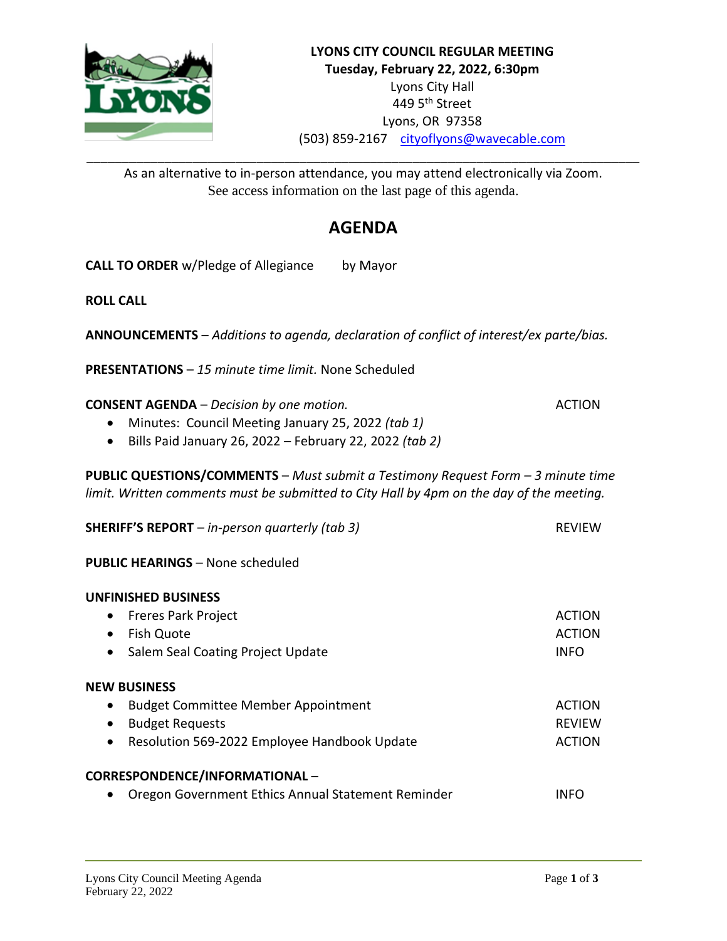

As an alternative to in-person attendance, you may attend electronically via Zoom. See access information on the last page of this agenda.

# **AGENDA**

**CALL TO ORDER** w/Pledge of Allegiance by Mayor

**ROLL CALL**

**ANNOUNCEMENTS** – *Additions to agenda, declaration of conflict of interest/ex parte/bias.*

**PRESENTATIONS** – *15 minute time limit.* None Scheduled

**CONSENT AGENDA** – *Decision by one motion.* ACTION

- Minutes: Council Meeting January 25, 2022 *(tab 1)*
- Bills Paid January 26, 2022 February 22, 2022 *(tab 2)*

**PUBLIC QUESTIONS/COMMENTS** – *Must submit a Testimony Request Form – 3 minute time limit. Written comments must be submitted to City Hall by 4pm on the day of the meeting.*

| <b>SHERIFF'S REPORT</b> $-$ in-person quarterly (tab 3)   | <b>REVIEW</b> |
|-----------------------------------------------------------|---------------|
| <b>PUBLIC HEARINGS - None scheduled</b>                   |               |
| <b>UNFINISHED BUSINESS</b>                                |               |
| <b>Freres Park Project</b><br>$\bullet$                   | <b>ACTION</b> |
| Fish Quote                                                | <b>ACTION</b> |
| Salem Seal Coating Project Update<br>$\bullet$            | <b>INFO</b>   |
| <b>NEW BUSINESS</b>                                       |               |
| <b>Budget Committee Member Appointment</b><br>$\bullet$   | <b>ACTION</b> |
| <b>Budget Requests</b><br>$\bullet$                       | <b>REVIEW</b> |
| Resolution 569-2022 Employee Handbook Update<br>$\bullet$ | <b>ACTION</b> |
| CORRESPONDENCE/INFORMATIONAL-                             |               |
| Oregon Government Ethics Annual Statement Reminder        | INFO          |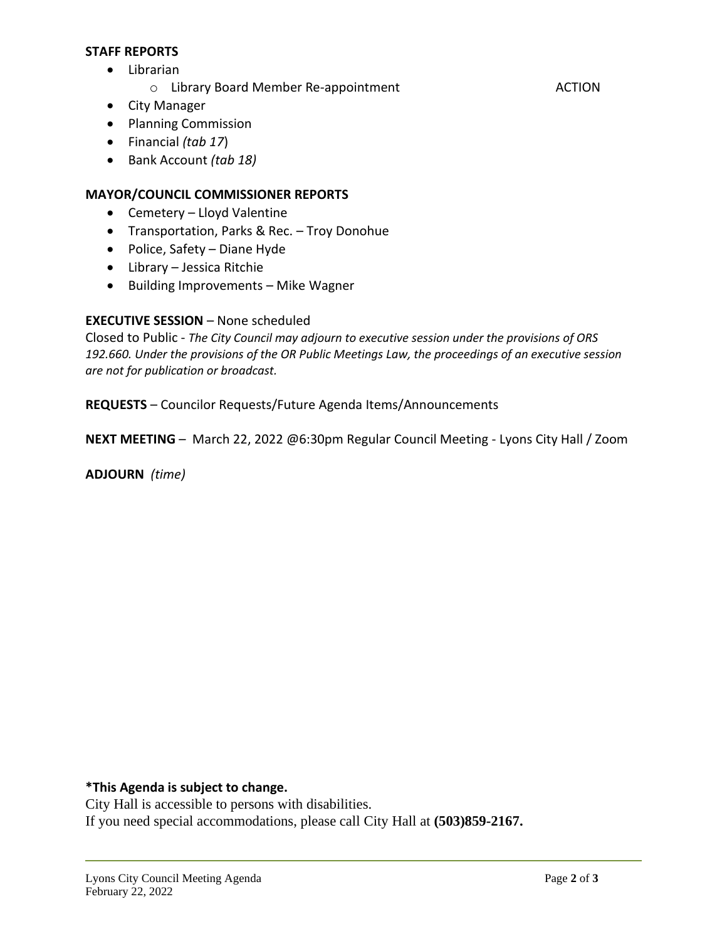#### **STAFF REPORTS**

- Librarian
	- o Library Board Member Re-appointment ACTION
- City Manager
- Planning Commission
- Financial *(tab 17*)
- Bank Account *(tab 18)*

# **MAYOR/COUNCIL COMMISSIONER REPORTS**

- Cemetery Lloyd Valentine
- Transportation, Parks & Rec. Troy Donohue
- Police, Safety Diane Hyde
- Library Jessica Ritchie
- Building Improvements Mike Wagner

## **EXECUTIVE SESSION** – None scheduled

Closed to Public - *The City Council may adjourn to executive session under the provisions of ORS 192.660. Under the provisions of the OR Public Meetings Law, the proceedings of an executive session are not for publication or broadcast.*

**REQUESTS** – Councilor Requests/Future Agenda Items/Announcements

**NEXT MEETING** – March 22, 2022 @6:30pm Regular Council Meeting - Lyons City Hall / Zoom

**ADJOURN** *(time)*

**\*This Agenda is subject to change.**

City Hall is accessible to persons with disabilities. If you need special accommodations, please call City Hall at **(503)859-2167.**